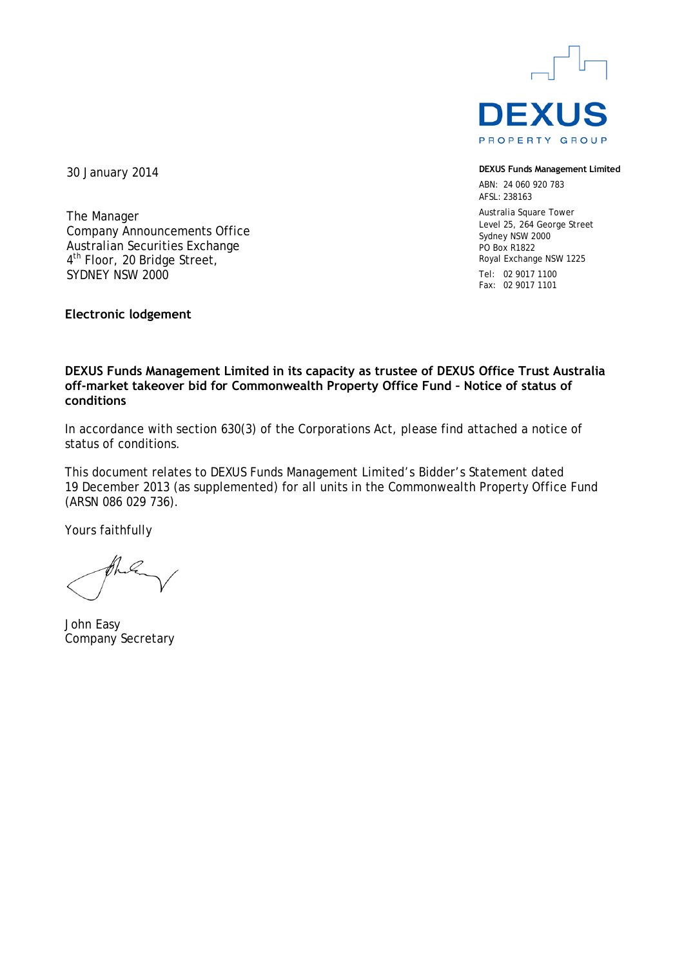

**DEXUS Funds Management Limited**

ABN: 24 060 920 783 AFSL: 238163

Australia Square Tower Level 25, 264 George Street Sydney NSW 2000 PO Box R1822 Royal Exchange NSW 1225 Tel: 02 9017 1100

Fax: 02 9017 1101

30 January 2014

The Manager Company Announcements Office Australian Securities Exchange 4<sup>th</sup> Floor, 20 Bridge Street, SYDNEY NSW 2000

**Electronic lodgement**

## **DEXUS Funds Management Limited in its capacity as trustee of DEXUS Office Trust Australia off-market takeover bid for Commonwealth Property Office Fund – Notice of status of conditions**

In accordance with section 630(3) of the Corporations Act, please find attached a notice of status of conditions.

This document relates to DEXUS Funds Management Limited's Bidder's Statement dated 19 December 2013 (as supplemented) for all units in the Commonwealth Property Office Fund (ARSN 086 029 736).

Yours faithfully

John Easy Company Secretary